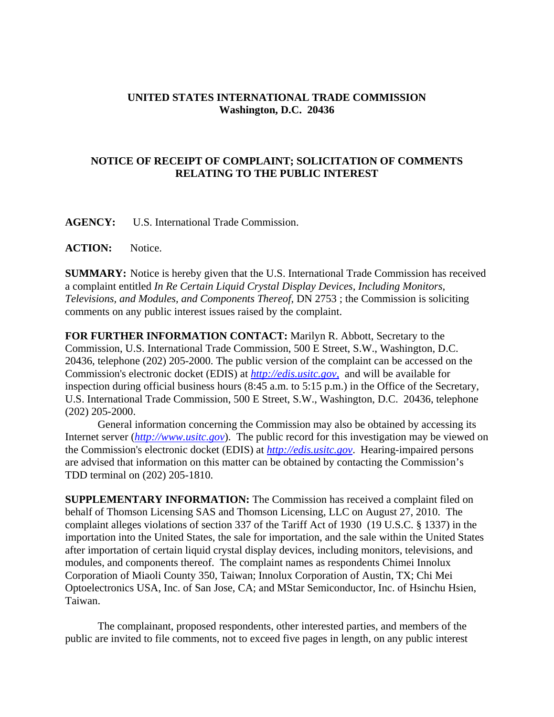## **UNITED STATES INTERNATIONAL TRADE COMMISSION Washington, D.C. 20436**

## **NOTICE OF RECEIPT OF COMPLAINT; SOLICITATION OF COMMENTS RELATING TO THE PUBLIC INTEREST**

**AGENCY:** U.S. International Trade Commission.

**ACTION:** Notice.

**SUMMARY:** Notice is hereby given that the U.S. International Trade Commission has received a complaint entitled *In Re Certain Liquid Crystal Display Devices, Including Monitors, Televisions, and Modules, and Components Thereof*, DN 2753 ; the Commission is soliciting comments on any public interest issues raised by the complaint.

**FOR FURTHER INFORMATION CONTACT:** Marilyn R. Abbott, Secretary to the Commission, U.S. International Trade Commission, 500 E Street, S.W., Washington, D.C. 20436, telephone (202) 205-2000. The public version of the complaint can be accessed on the Commission's electronic docket (EDIS) at *http://edis.usitc.gov*, and will be available for inspection during official business hours (8:45 a.m. to 5:15 p.m.) in the Office of the Secretary, U.S. International Trade Commission, 500 E Street, S.W., Washington, D.C. 20436, telephone (202) 205-2000.

General information concerning the Commission may also be obtained by accessing its Internet server (*http://www.usitc.gov*). The public record for this investigation may be viewed on the Commission's electronic docket (EDIS) at *http://edis.usitc.gov*. Hearing-impaired persons are advised that information on this matter can be obtained by contacting the Commission's TDD terminal on (202) 205-1810.

**SUPPLEMENTARY INFORMATION:** The Commission has received a complaint filed on behalf of Thomson Licensing SAS and Thomson Licensing, LLC on August 27, 2010. The complaint alleges violations of section 337 of the Tariff Act of 1930 (19 U.S.C. § 1337) in the importation into the United States, the sale for importation, and the sale within the United States after importation of certain liquid crystal display devices, including monitors, televisions, and modules, and components thereof. The complaint names as respondents Chimei Innolux Corporation of Miaoli County 350, Taiwan; Innolux Corporation of Austin, TX; Chi Mei Optoelectronics USA, Inc. of San Jose, CA; and MStar Semiconductor, Inc. of Hsinchu Hsien, Taiwan.

The complainant, proposed respondents, other interested parties, and members of the public are invited to file comments, not to exceed five pages in length, on any public interest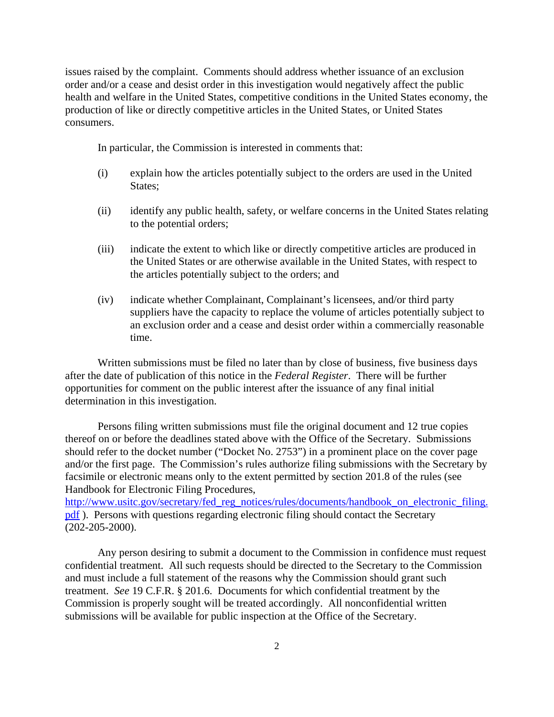issues raised by the complaint. Comments should address whether issuance of an exclusion order and/or a cease and desist order in this investigation would negatively affect the public health and welfare in the United States, competitive conditions in the United States economy, the production of like or directly competitive articles in the United States, or United States consumers.

In particular, the Commission is interested in comments that:

- (i) explain how the articles potentially subject to the orders are used in the United States;
- (ii) identify any public health, safety, or welfare concerns in the United States relating to the potential orders;
- (iii) indicate the extent to which like or directly competitive articles are produced in the United States or are otherwise available in the United States, with respect to the articles potentially subject to the orders; and
- (iv) indicate whether Complainant, Complainant's licensees, and/or third party suppliers have the capacity to replace the volume of articles potentially subject to an exclusion order and a cease and desist order within a commercially reasonable time.

Written submissions must be filed no later than by close of business, five business days after the date of publication of this notice in the *Federal Register*. There will be further opportunities for comment on the public interest after the issuance of any final initial determination in this investigation.

Persons filing written submissions must file the original document and 12 true copies thereof on or before the deadlines stated above with the Office of the Secretary. Submissions should refer to the docket number ("Docket No. 2753") in a prominent place on the cover page and/or the first page. The Commission's rules authorize filing submissions with the Secretary by facsimile or electronic means only to the extent permitted by section 201.8 of the rules (see Handbook for Electronic Filing Procedures,

http://www.usitc.gov/secretary/fed\_reg\_notices/rules/documents/handbook\_on\_electronic\_filing. pdf). Persons with questions regarding electronic filing should contact the Secretary (202-205-2000).

Any person desiring to submit a document to the Commission in confidence must request confidential treatment. All such requests should be directed to the Secretary to the Commission and must include a full statement of the reasons why the Commission should grant such treatment. *See* 19 C.F.R. § 201.6. Documents for which confidential treatment by the Commission is properly sought will be treated accordingly. All nonconfidential written submissions will be available for public inspection at the Office of the Secretary.